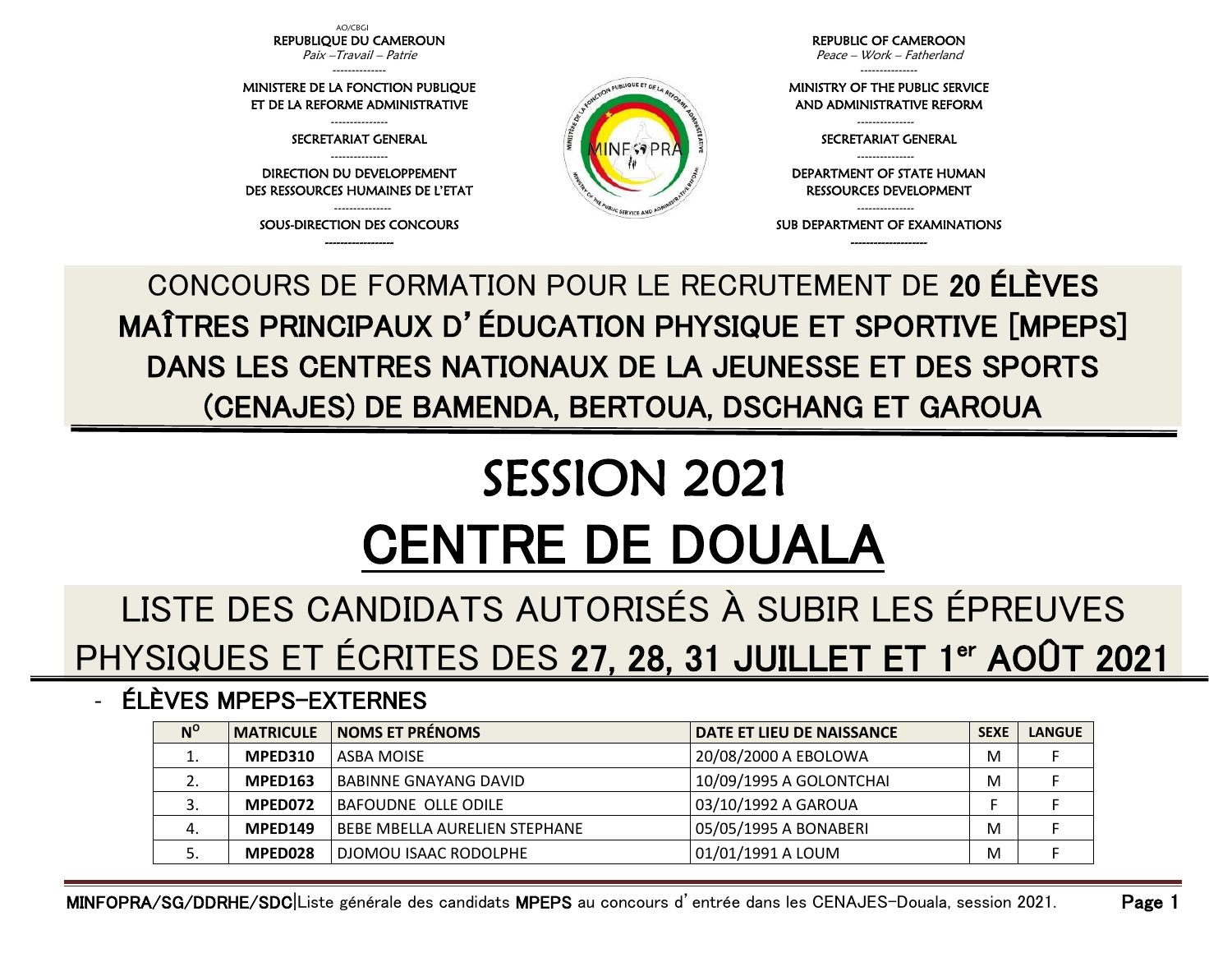AO/CBGI REPUBLIQUE DU CAMEROUN Paix –Travail – Patrie --------------

MINISTERE DE LA FONCTION PUBLIQUE ET DE LA REFORME ADMINISTRATIVE --------------- SECRETARIAT GENERAL --------------- DIRECTION DU DEVELOPPEMENT DES RESSOURCES HUMAINES DE L'ETAT --------------- SOUS-DIRECTION DES CONCOURS ------------------

REPUBLIC OF CAMEROON Peace – Work – Fatherland

--------------- MINISTRY OF THE PUBLIC SERVICE AND ADMINISTRATIVE REFORM

> --------------- SECRETARIAT GENERAL ---------------

DEPARTMENT OF STATE HUMAN RESSOURCES DEVELOPMENT

--------------- SUB DEPARTMENT OF EXAMINATIONS -------------------

CONCOURS DE FORMATION POUR LE RECRUTEMENT DE 20 ÉLÈVES MAÎTRES PRINCIPAUX D'ÉDUCATION PHYSIQUE ET SPORTIVE [MPEPS] DANS LES CENTRES NATIONAUX DE LA JEUNESSE ET DES SPORTS (CENAJES) DE BAMENDA, BERTOUA, DSCHANG ET GAROUA

PUBLIQUE ET DE

## SESSION 2021 CENTRE DE DOUALA

## LISTE DES CANDIDATS AUTORISÉS À SUBIR LES ÉPREUVES PHYSIQUES ET ÉCRITES DES 27, 28, 31 JUILLET ET 1<sup>er</sup> AOÛT 2021

## - ÉLÈVES MPEPS-EXTERNES

| $N^{\rm o}$ |         | <b>MATRICULE   NOMS ET PRÉNOMS</b>   | <b>DATE ET LIEU DE NAISSANCE</b> | <b>SEXE</b> | <b>LANGUE</b> |
|-------------|---------|--------------------------------------|----------------------------------|-------------|---------------|
| ∸.          | MPED310 | LASBA MOISE                          | 20/08/2000 A EBOLOWA             | M           |               |
|             | MPED163 | BABINNE GNAYANG DAVID                | 10/09/1995 A GOLONTCHAI          | M           |               |
|             | MPED072 | <b>BAFOUDNE OLLE ODILE</b>           | 03/10/1992 A GAROUA              |             |               |
| 4.          | MPED149 | <b>BEBE MBELLA AURELIEN STEPHANE</b> | 05/05/1995 A BONABERI            | M           |               |
|             | MPED028 | DJOMOU ISAAC RODOLPHE                | 01/01/1991 A LOUM                | M           |               |